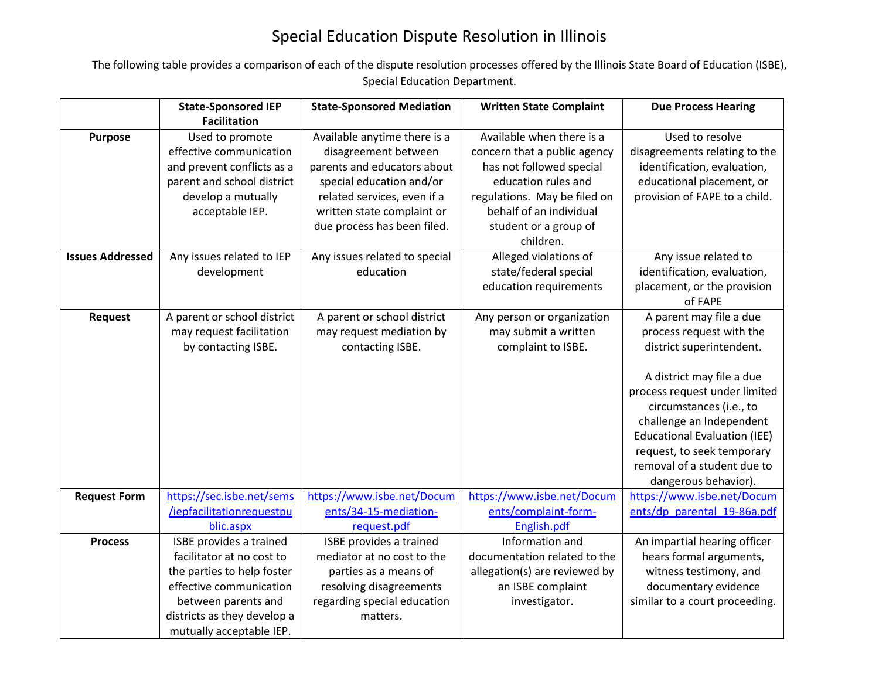## Special Education Dispute Resolution in Illinois

The following table provides a comparison of each of the dispute resolution processes offered by the Illinois State Board of Education (ISBE), Special Education Department.

|                         | <b>State-Sponsored IEP</b>  | <b>State-Sponsored Mediation</b> | <b>Written State Complaint</b> | <b>Due Process Hearing</b>                                      |
|-------------------------|-----------------------------|----------------------------------|--------------------------------|-----------------------------------------------------------------|
|                         | <b>Facilitation</b>         |                                  |                                |                                                                 |
| <b>Purpose</b>          | Used to promote             | Available anytime there is a     | Available when there is a      | Used to resolve                                                 |
|                         | effective communication     | disagreement between             | concern that a public agency   | disagreements relating to the                                   |
|                         | and prevent conflicts as a  | parents and educators about      | has not followed special       | identification, evaluation,                                     |
|                         | parent and school district  | special education and/or         | education rules and            | educational placement, or                                       |
|                         | develop a mutually          | related services, even if a      | regulations. May be filed on   | provision of FAPE to a child.                                   |
|                         | acceptable IEP.             | written state complaint or       | behalf of an individual        |                                                                 |
|                         |                             | due process has been filed.      | student or a group of          |                                                                 |
|                         |                             |                                  | children.                      |                                                                 |
| <b>Issues Addressed</b> | Any issues related to IEP   | Any issues related to special    | Alleged violations of          | Any issue related to                                            |
|                         | development                 | education                        | state/federal special          | identification, evaluation,                                     |
|                         |                             |                                  | education requirements         | placement, or the provision                                     |
|                         |                             |                                  |                                | of FAPE                                                         |
| <b>Request</b>          | A parent or school district | A parent or school district      | Any person or organization     | A parent may file a due                                         |
|                         | may request facilitation    | may request mediation by         | may submit a written           | process request with the                                        |
|                         | by contacting ISBE.         | contacting ISBE.                 | complaint to ISBE.             | district superintendent.                                        |
|                         |                             |                                  |                                |                                                                 |
|                         |                             |                                  |                                | A district may file a due                                       |
|                         |                             |                                  |                                | process request under limited                                   |
|                         |                             |                                  |                                | circumstances (i.e., to                                         |
|                         |                             |                                  |                                | challenge an Independent<br><b>Educational Evaluation (IEE)</b> |
|                         |                             |                                  |                                | request, to seek temporary                                      |
|                         |                             |                                  |                                | removal of a student due to                                     |
|                         |                             |                                  |                                | dangerous behavior).                                            |
| <b>Request Form</b>     | https://sec.isbe.net/sems   | https://www.isbe.net/Docum       | https://www.isbe.net/Docum     | https://www.isbe.net/Docum                                      |
|                         | /iepfacilitationrequestpu   | ents/34-15-mediation-            | ents/complaint-form-           | ents/dp parental 19-86a.pdf                                     |
|                         | blic.aspx                   | request.pdf                      | English.pdf                    |                                                                 |
| <b>Process</b>          | ISBE provides a trained     | ISBE provides a trained          | Information and                | An impartial hearing officer                                    |
|                         | facilitator at no cost to   | mediator at no cost to the       | documentation related to the   | hears formal arguments,                                         |
|                         | the parties to help foster  | parties as a means of            | allegation(s) are reviewed by  | witness testimony, and                                          |
|                         | effective communication     | resolving disagreements          | an ISBE complaint              | documentary evidence                                            |
|                         | between parents and         | regarding special education      | investigator.                  | similar to a court proceeding.                                  |
|                         | districts as they develop a | matters.                         |                                |                                                                 |
|                         | mutually acceptable IEP.    |                                  |                                |                                                                 |